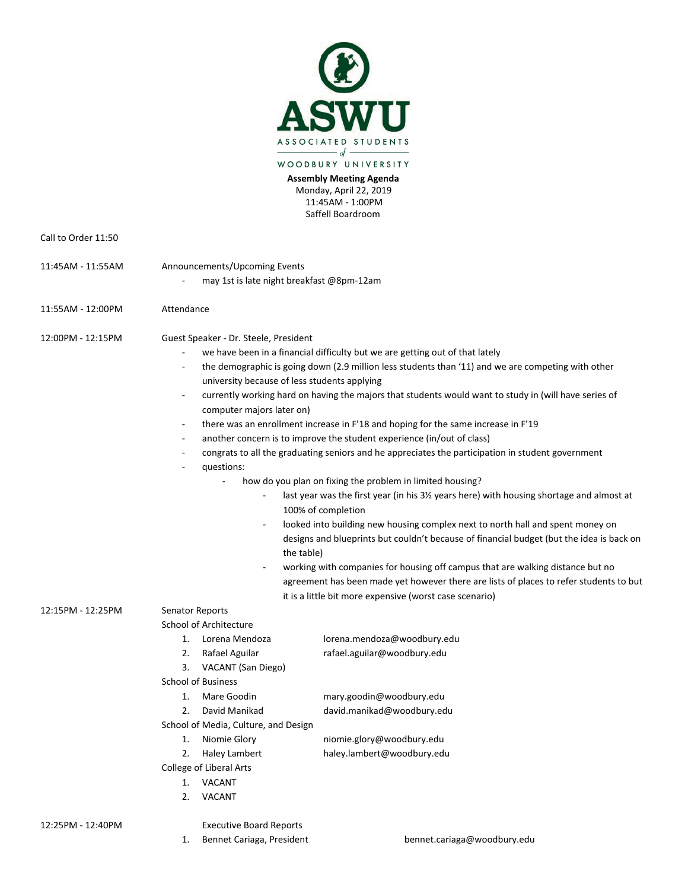

**Assembly Meeting Agenda** Monday, April 22, 2019 11:45AM - 1:00PM Saffell Boardroom

| Call to Order 11:50 |                                                                                                                                                                                                                                                                                                                                                                                                                                                                                                                                                                                                                                                                                                                                                                                                                                                                                                                                                                                                                                                                                                                                                                                                                                                                                                                                                                                                                                                                                                        |
|---------------------|--------------------------------------------------------------------------------------------------------------------------------------------------------------------------------------------------------------------------------------------------------------------------------------------------------------------------------------------------------------------------------------------------------------------------------------------------------------------------------------------------------------------------------------------------------------------------------------------------------------------------------------------------------------------------------------------------------------------------------------------------------------------------------------------------------------------------------------------------------------------------------------------------------------------------------------------------------------------------------------------------------------------------------------------------------------------------------------------------------------------------------------------------------------------------------------------------------------------------------------------------------------------------------------------------------------------------------------------------------------------------------------------------------------------------------------------------------------------------------------------------------|
| 11:45AM - 11:55AM   | Announcements/Upcoming Events<br>may 1st is late night breakfast @8pm-12am                                                                                                                                                                                                                                                                                                                                                                                                                                                                                                                                                                                                                                                                                                                                                                                                                                                                                                                                                                                                                                                                                                                                                                                                                                                                                                                                                                                                                             |
| 11:55AM - 12:00PM   | Attendance                                                                                                                                                                                                                                                                                                                                                                                                                                                                                                                                                                                                                                                                                                                                                                                                                                                                                                                                                                                                                                                                                                                                                                                                                                                                                                                                                                                                                                                                                             |
| 12:00PM - 12:15PM   | Guest Speaker - Dr. Steele, President<br>we have been in a financial difficulty but we are getting out of that lately<br>the demographic is going down (2.9 million less students than '11) and we are competing with other<br>$\overline{\phantom{a}}$<br>university because of less students applying<br>currently working hard on having the majors that students would want to study in (will have series of<br>$\overline{\phantom{a}}$<br>computer majors later on)<br>there was an enrollment increase in F'18 and hoping for the same increase in F'19<br>$\qquad \qquad \blacksquare$<br>another concern is to improve the student experience (in/out of class)<br>$\overline{\phantom{m}}$<br>congrats to all the graduating seniors and he appreciates the participation in student government<br>$\overline{\phantom{a}}$<br>questions:<br>how do you plan on fixing the problem in limited housing?<br>L,<br>last year was the first year (in his 3% years here) with housing shortage and almost at<br>100% of completion<br>looked into building new housing complex next to north hall and spent money on<br>designs and blueprints but couldn't because of financial budget (but the idea is back on<br>the table)<br>working with companies for housing off campus that are walking distance but no<br>$\overline{\phantom{a}}$<br>agreement has been made yet however there are lists of places to refer students to but<br>it is a little bit more expensive (worst case scenario) |
| 12:15PM - 12:25PM   | <b>Senator Reports</b><br>School of Architecture<br>lorena.mendoza@woodbury.edu<br>Lorena Mendoza<br>1.<br>2.<br>Rafael Aguilar<br>rafael.aguilar@woodbury.edu<br>3.<br>VACANT (San Diego)<br><b>School of Business</b><br>Mare Goodin<br>mary.goodin@woodbury.edu<br>1.<br>2.<br>David Manikad<br>david.manikad@woodbury.edu<br>School of Media, Culture, and Design<br>Niomie Glory<br>niomie.glory@woodbury.edu<br>1.<br>haley.lambert@woodbury.edu<br>2.<br>Haley Lambert<br>College of Liberal Arts<br><b>VACANT</b><br>1.                                                                                                                                                                                                                                                                                                                                                                                                                                                                                                                                                                                                                                                                                                                                                                                                                                                                                                                                                                        |

2. VACANT

12:25PM - 12:40PM Executive Board Reports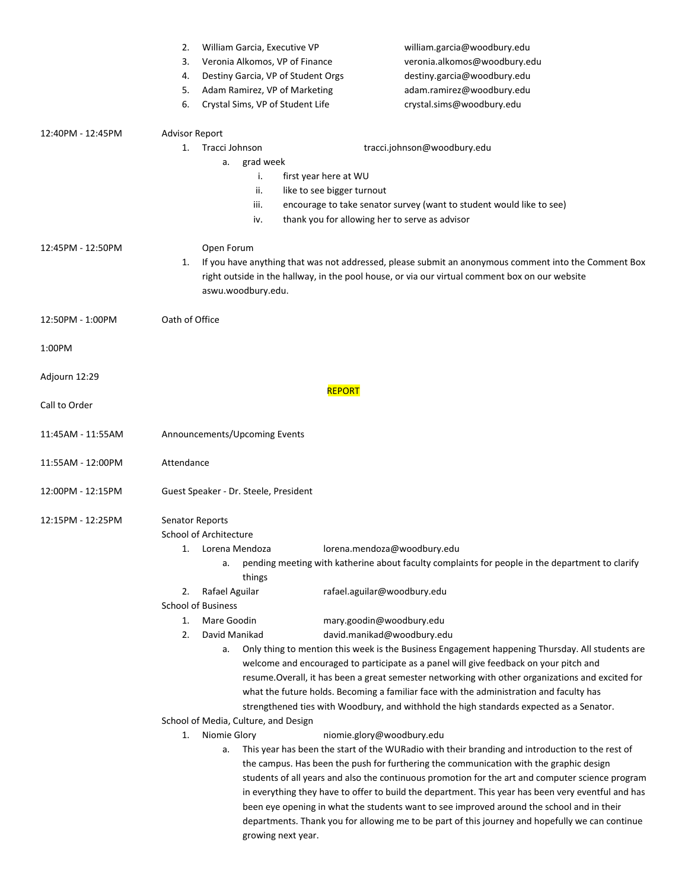|                   | 2.<br>William Garcia, Executive VP                                                                                                                                                                                                                                                                  |                             | william.garcia@woodbury.edu                                                                     |  |  |
|-------------------|-----------------------------------------------------------------------------------------------------------------------------------------------------------------------------------------------------------------------------------------------------------------------------------------------------|-----------------------------|-------------------------------------------------------------------------------------------------|--|--|
|                   | 3.<br>Veronia Alkomos, VP of Finance                                                                                                                                                                                                                                                                |                             | veronia.alkomos@woodbury.edu                                                                    |  |  |
|                   | Destiny Garcia, VP of Student Orgs<br>4.                                                                                                                                                                                                                                                            |                             | destiny.garcia@woodbury.edu                                                                     |  |  |
|                   | 5.<br>Adam Ramirez, VP of Marketing                                                                                                                                                                                                                                                                 |                             | adam.ramirez@woodbury.edu                                                                       |  |  |
|                   | Crystal Sims, VP of Student Life<br>6.                                                                                                                                                                                                                                                              |                             | crystal.sims@woodbury.edu                                                                       |  |  |
| 12:40PM - 12:45PM | <b>Advisor Report</b>                                                                                                                                                                                                                                                                               |                             |                                                                                                 |  |  |
|                   | Tracci Johnson<br>1.                                                                                                                                                                                                                                                                                |                             | tracci.johnson@woodbury.edu                                                                     |  |  |
|                   | grad week<br>a.                                                                                                                                                                                                                                                                                     |                             |                                                                                                 |  |  |
|                   | first year here at WU<br>j,                                                                                                                                                                                                                                                                         |                             |                                                                                                 |  |  |
|                   | like to see bigger turnout<br>ii.                                                                                                                                                                                                                                                                   |                             |                                                                                                 |  |  |
|                   | iii.<br>encourage to take senator survey (want to student would like to see)<br>thank you for allowing her to serve as advisor<br>iv.                                                                                                                                                               |                             |                                                                                                 |  |  |
|                   |                                                                                                                                                                                                                                                                                                     |                             |                                                                                                 |  |  |
| 12:45PM - 12:50PM | Open Forum                                                                                                                                                                                                                                                                                          |                             |                                                                                                 |  |  |
|                   | If you have anything that was not addressed, please submit an anonymous comment into the Comment Box<br>1.                                                                                                                                                                                          |                             |                                                                                                 |  |  |
|                   | right outside in the hallway, in the pool house, or via our virtual comment box on our website                                                                                                                                                                                                      |                             |                                                                                                 |  |  |
|                   | aswu.woodbury.edu.                                                                                                                                                                                                                                                                                  |                             |                                                                                                 |  |  |
| 12:50PM - 1:00PM  | Oath of Office                                                                                                                                                                                                                                                                                      |                             |                                                                                                 |  |  |
|                   |                                                                                                                                                                                                                                                                                                     |                             |                                                                                                 |  |  |
| 1:00PM            |                                                                                                                                                                                                                                                                                                     |                             |                                                                                                 |  |  |
| Adjourn 12:29     |                                                                                                                                                                                                                                                                                                     |                             |                                                                                                 |  |  |
|                   | <b>REPORT</b>                                                                                                                                                                                                                                                                                       |                             |                                                                                                 |  |  |
| Call to Order     |                                                                                                                                                                                                                                                                                                     |                             |                                                                                                 |  |  |
| 11:45AM - 11:55AM | Announcements/Upcoming Events                                                                                                                                                                                                                                                                       |                             |                                                                                                 |  |  |
|                   |                                                                                                                                                                                                                                                                                                     |                             |                                                                                                 |  |  |
| 11:55AM - 12:00PM | Attendance                                                                                                                                                                                                                                                                                          |                             |                                                                                                 |  |  |
|                   |                                                                                                                                                                                                                                                                                                     |                             |                                                                                                 |  |  |
| 12:00PM - 12:15PM | Guest Speaker - Dr. Steele, President                                                                                                                                                                                                                                                               |                             |                                                                                                 |  |  |
| 12:15PM - 12:25PM | Senator Reports                                                                                                                                                                                                                                                                                     |                             |                                                                                                 |  |  |
|                   | School of Architecture                                                                                                                                                                                                                                                                              |                             |                                                                                                 |  |  |
|                   | Lorena Mendoza<br>1.                                                                                                                                                                                                                                                                                |                             | lorena.mendoza@woodbury.edu                                                                     |  |  |
|                   | a.                                                                                                                                                                                                                                                                                                  |                             | pending meeting with katherine about faculty complaints for people in the department to clarify |  |  |
|                   | things                                                                                                                                                                                                                                                                                              |                             |                                                                                                 |  |  |
|                   | Rafael Aguilar<br>2.<br><b>School of Business</b>                                                                                                                                                                                                                                                   | rafael.aguilar@woodbury.edu |                                                                                                 |  |  |
|                   | Mare Goodin<br>1.                                                                                                                                                                                                                                                                                   | mary.goodin@woodbury.edu    |                                                                                                 |  |  |
|                   | 2.<br>David Manikad                                                                                                                                                                                                                                                                                 | david.manikad@woodbury.edu  |                                                                                                 |  |  |
|                   | a.                                                                                                                                                                                                                                                                                                  |                             | Only thing to mention this week is the Business Engagement happening Thursday. All students are |  |  |
|                   | welcome and encouraged to participate as a panel will give feedback on your pitch and                                                                                                                                                                                                               |                             |                                                                                                 |  |  |
|                   | resume. Overall, it has been a great semester networking with other organizations and excited for                                                                                                                                                                                                   |                             |                                                                                                 |  |  |
|                   | what the future holds. Becoming a familiar face with the administration and faculty has                                                                                                                                                                                                             |                             |                                                                                                 |  |  |
|                   | strengthened ties with Woodbury, and withhold the high standards expected as a Senator.                                                                                                                                                                                                             |                             |                                                                                                 |  |  |
|                   | School of Media, Culture, and Design                                                                                                                                                                                                                                                                |                             |                                                                                                 |  |  |
|                   | Niomie Glory<br>1.                                                                                                                                                                                                                                                                                  | niomie.glory@woodbury.edu   |                                                                                                 |  |  |
|                   | This year has been the start of the WURadio with their branding and introduction to the rest of<br>a.<br>the campus. Has been the push for furthering the communication with the graphic design<br>students of all years and also the continuous promotion for the art and computer science program |                             |                                                                                                 |  |  |
|                   |                                                                                                                                                                                                                                                                                                     |                             |                                                                                                 |  |  |
|                   | in everything they have to offer to build the department. This year has been very eventful and has                                                                                                                                                                                                  |                             |                                                                                                 |  |  |
|                   | been eye opening in what the students want to see improved around the school and in their                                                                                                                                                                                                           |                             |                                                                                                 |  |  |
|                   | departments. Thank you for allowing me to be part of this journey and hopefully we can continue                                                                                                                                                                                                     |                             |                                                                                                 |  |  |
|                   |                                                                                                                                                                                                                                                                                                     | growing next year.          |                                                                                                 |  |  |
|                   |                                                                                                                                                                                                                                                                                                     |                             |                                                                                                 |  |  |